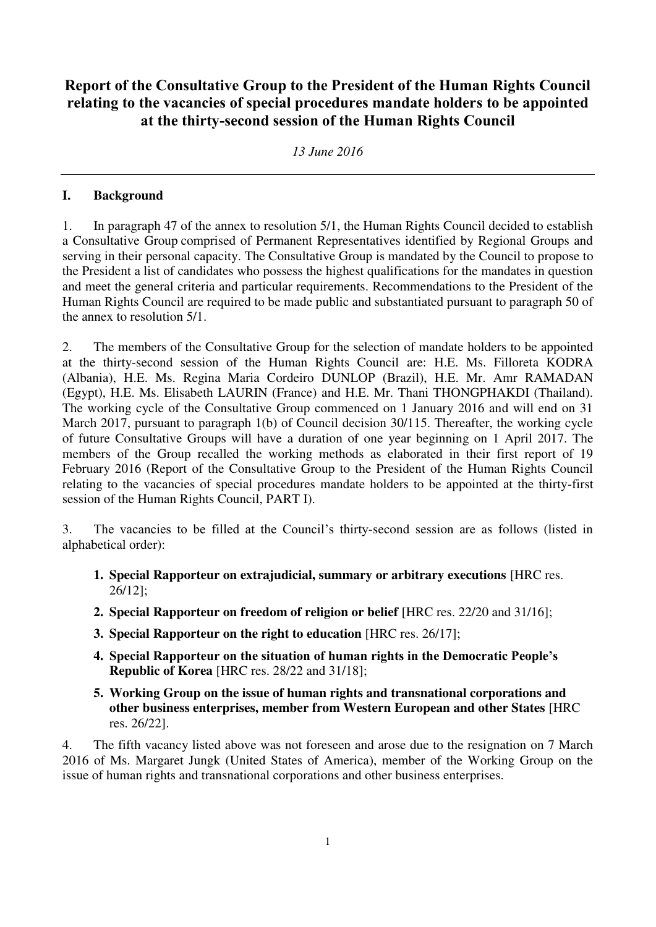# **Report of the Consultative Group to the President of the Human Rights Council relating to the vacancies of special procedures mandate holders to be appointed at the thirty-second session of the Human Rights Council**

*13 June 2016* 

#### **I. Background**

1. In paragraph 47 of the annex to resolution 5/1, the Human Rights Council decided to establish a Consultative Group comprised of Permanent Representatives identified by Regional Groups and serving in their personal capacity. The Consultative Group is mandated by the Council to propose to the President a list of candidates who possess the highest qualifications for the mandates in question and meet the general criteria and particular requirements. Recommendations to the President of the Human Rights Council are required to be made public and substantiated pursuant to paragraph 50 of the annex to resolution 5/1.

2. The members of the Consultative Group for the selection of mandate holders to be appointed at the thirty-second session of the Human Rights Council are: H.E. Ms. Filloreta KODRA (Albania), H.E. Ms. Regina Maria Cordeiro DUNLOP (Brazil), H.E. Mr. Amr RAMADAN (Egypt), H.E. Ms. Elisabeth LAURIN (France) and H.E. Mr. Thani THONGPHAKDI (Thailand). The working cycle of the Consultative Group commenced on 1 January 2016 and will end on 31 March 2017, pursuant to paragraph 1(b) of Council decision 30/115. Thereafter, the working cycle of future Consultative Groups will have a duration of one year beginning on 1 April 2017. The members of the Group recalled the working methods as elaborated in their first report of 19 February 2016 (Report of the Consultative Group to the President of the Human Rights Council relating to the vacancies of special procedures mandate holders to be appointed at the thirty-first session of the Human Rights Council, PART I).

3. The vacancies to be filled at the Council's thirty-second session are as follows (listed in alphabetical order):

- **1. Special Rapporteur on extrajudicial, summary or arbitrary executions** [HRC res. 26/12];
- **2. Special Rapporteur on freedom of religion or belief** [HRC res. 22/20 and 31/16];
- **3. Special Rapporteur on the right to education** [HRC res. 26/17];
- **4. Special Rapporteur on the situation of human rights in the Democratic People's Republic of Korea** [HRC res. 28/22 and 31/18];
- **5. Working Group on the issue of human rights and transnational corporations and other business enterprises, member from Western European and other States** [HRC res. 26/22].

4. The fifth vacancy listed above was not foreseen and arose due to the resignation on 7 March 2016 of Ms. Margaret Jungk (United States of America), member of the Working Group on the issue of human rights and transnational corporations and other business enterprises.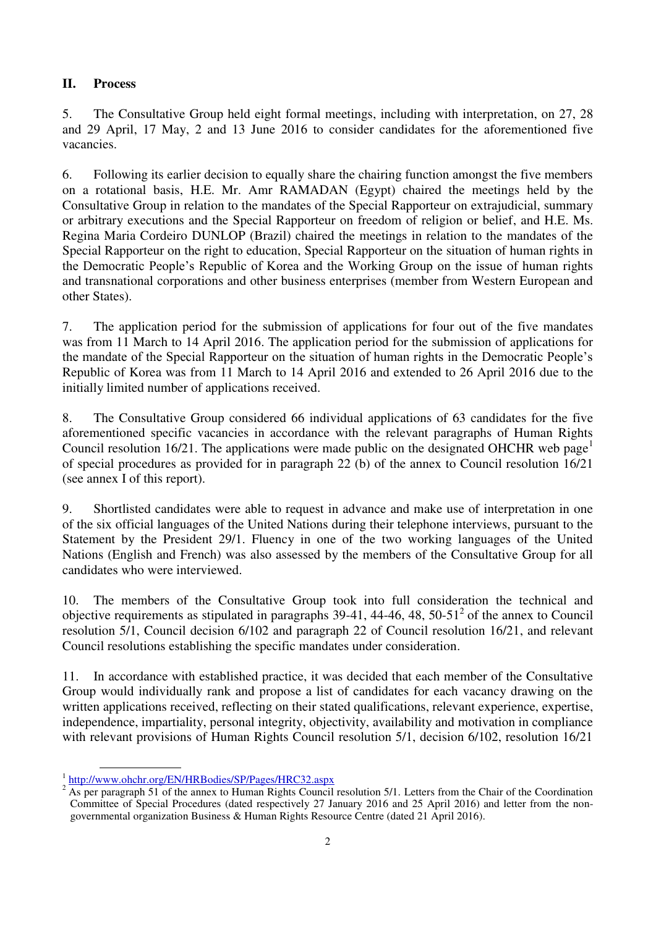#### **II. Process**

5. The Consultative Group held eight formal meetings, including with interpretation, on 27, 28 and 29 April, 17 May, 2 and 13 June 2016 to consider candidates for the aforementioned five vacancies.

6. Following its earlier decision to equally share the chairing function amongst the five members on a rotational basis, H.E. Mr. Amr RAMADAN (Egypt) chaired the meetings held by the Consultative Group in relation to the mandates of the Special Rapporteur on extrajudicial, summary or arbitrary executions and the Special Rapporteur on freedom of religion or belief, and H.E. Ms. Regina Maria Cordeiro DUNLOP (Brazil) chaired the meetings in relation to the mandates of the Special Rapporteur on the right to education, Special Rapporteur on the situation of human rights in the Democratic People's Republic of Korea and the Working Group on the issue of human rights and transnational corporations and other business enterprises (member from Western European and other States).

7. The application period for the submission of applications for four out of the five mandates was from 11 March to 14 April 2016. The application period for the submission of applications for the mandate of the Special Rapporteur on the situation of human rights in the Democratic People's Republic of Korea was from 11 March to 14 April 2016 and extended to 26 April 2016 due to the initially limited number of applications received.

8. The Consultative Group considered 66 individual applications of 63 candidates for the five aforementioned specific vacancies in accordance with the relevant paragraphs of Human Rights Council resolution 16/21. The applications were made public on the designated OHCHR web page<sup>1</sup> of special procedures as provided for in paragraph 22 (b) of the annex to Council resolution 16/21 (see annex I of this report).

9. Shortlisted candidates were able to request in advance and make use of interpretation in one of the six official languages of the United Nations during their telephone interviews, pursuant to the Statement by the President 29/1. Fluency in one of the two working languages of the United Nations (English and French) was also assessed by the members of the Consultative Group for all candidates who were interviewed.

10. The members of the Consultative Group took into full consideration the technical and objective requirements as stipulated in paragraphs  $39-41$ ,  $44-46$ ,  $48$ ,  $50-51<sup>2</sup>$  of the annex to Council resolution 5/1, Council decision 6/102 and paragraph 22 of Council resolution 16/21, and relevant Council resolutions establishing the specific mandates under consideration.

11. In accordance with established practice, it was decided that each member of the Consultative Group would individually rank and propose a list of candidates for each vacancy drawing on the written applications received, reflecting on their stated qualifications, relevant experience, expertise, independence, impartiality, personal integrity, objectivity, availability and motivation in compliance with relevant provisions of Human Rights Council resolution 5/1, decision 6/102, resolution 16/21

 $\overline{a}$ 

<sup>&</sup>lt;sup>1</sup> http://www.ohchr.org/EN/HRBodies/SP/Pages/HRC32.aspx

<sup>2</sup> As per paragraph 51 of the annex to Human Rights Council resolution 5/1. Letters from the Chair of the Coordination Committee of Special Procedures (dated respectively 27 January 2016 and 25 April 2016) and letter from the nongovernmental organization Business & Human Rights Resource Centre (dated 21 April 2016).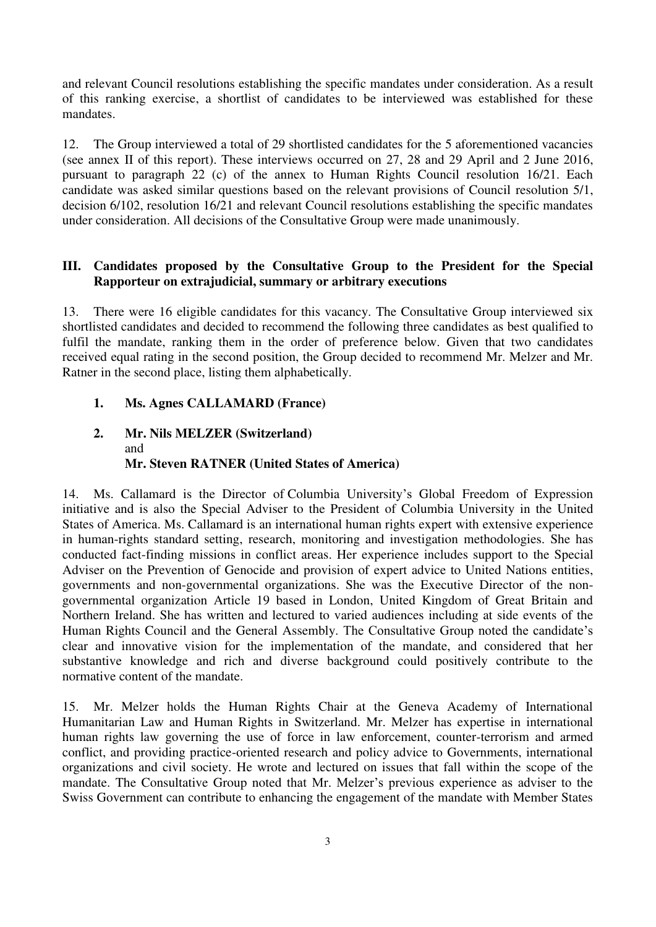and relevant Council resolutions establishing the specific mandates under consideration. As a result of this ranking exercise, a shortlist of candidates to be interviewed was established for these mandates.

12. The Group interviewed a total of 29 shortlisted candidates for the 5 aforementioned vacancies (see annex II of this report). These interviews occurred on 27, 28 and 29 April and 2 June 2016, pursuant to paragraph 22 (c) of the annex to Human Rights Council resolution 16/21. Each candidate was asked similar questions based on the relevant provisions of Council resolution 5/1, decision 6/102, resolution 16/21 and relevant Council resolutions establishing the specific mandates under consideration. All decisions of the Consultative Group were made unanimously.

#### **III. Candidates proposed by the Consultative Group to the President for the Special Rapporteur on extrajudicial, summary or arbitrary executions**

13. There were 16 eligible candidates for this vacancy. The Consultative Group interviewed six shortlisted candidates and decided to recommend the following three candidates as best qualified to fulfil the mandate, ranking them in the order of preference below. Given that two candidates received equal rating in the second position, the Group decided to recommend Mr. Melzer and Mr. Ratner in the second place, listing them alphabetically.

#### **1. Ms. Agnes CALLAMARD (France)**

### **2. Mr. Nils MELZER (Switzerland)**  and **Mr. Steven RATNER (United States of America)**

14. Ms. Callamard is the Director of Columbia University's Global Freedom of Expression initiative and is also the Special Adviser to the President of Columbia University in the United States of America. Ms. Callamard is an international human rights expert with extensive experience in human-rights standard setting, research, monitoring and investigation methodologies. She has conducted fact-finding missions in conflict areas. Her experience includes support to the Special Adviser on the Prevention of Genocide and provision of expert advice to United Nations entities, governments and non-governmental organizations. She was the Executive Director of the nongovernmental organization Article 19 based in London, United Kingdom of Great Britain and Northern Ireland. She has written and lectured to varied audiences including at side events of the Human Rights Council and the General Assembly. The Consultative Group noted the candidate's clear and innovative vision for the implementation of the mandate, and considered that her substantive knowledge and rich and diverse background could positively contribute to the normative content of the mandate.

15. Mr. Melzer holds the Human Rights Chair at the Geneva Academy of International Humanitarian Law and Human Rights in Switzerland. Mr. Melzer has expertise in international human rights law governing the use of force in law enforcement, counter-terrorism and armed conflict, and providing practice-oriented research and policy advice to Governments, international organizations and civil society. He wrote and lectured on issues that fall within the scope of the mandate. The Consultative Group noted that Mr. Melzer's previous experience as adviser to the Swiss Government can contribute to enhancing the engagement of the mandate with Member States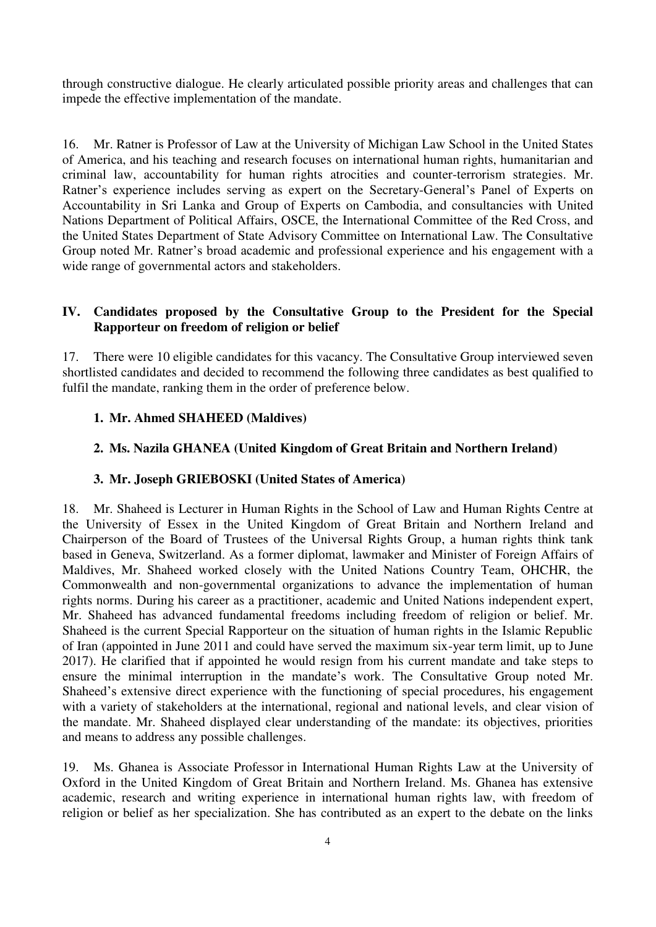through constructive dialogue. He clearly articulated possible priority areas and challenges that can impede the effective implementation of the mandate.

16. Mr. Ratner is Professor of Law at the University of Michigan Law School in the United States of America, and his teaching and research focuses on international human rights, humanitarian and criminal law, accountability for human rights atrocities and counter-terrorism strategies. Mr. Ratner's experience includes serving as expert on the Secretary-General's Panel of Experts on Accountability in Sri Lanka and Group of Experts on Cambodia, and consultancies with United Nations Department of Political Affairs, OSCE, the International Committee of the Red Cross, and the United States Department of State Advisory Committee on International Law. The Consultative Group noted Mr. Ratner's broad academic and professional experience and his engagement with a wide range of governmental actors and stakeholders.

### **IV. Candidates proposed by the Consultative Group to the President for the Special Rapporteur on freedom of religion or belief**

17. There were 10 eligible candidates for this vacancy. The Consultative Group interviewed seven shortlisted candidates and decided to recommend the following three candidates as best qualified to fulfil the mandate, ranking them in the order of preference below.

#### **1. Mr. Ahmed SHAHEED (Maldives)**

#### **2. Ms. Nazila GHANEA (United Kingdom of Great Britain and Northern Ireland)**

#### **3. Mr. Joseph GRIEBOSKI (United States of America)**

18. Mr. Shaheed is Lecturer in Human Rights in the School of Law and Human Rights Centre at the University of Essex in the United Kingdom of Great Britain and Northern Ireland and Chairperson of the Board of Trustees of the Universal Rights Group, a human rights think tank based in Geneva, Switzerland. As a former diplomat, lawmaker and Minister of Foreign Affairs of Maldives, Mr. Shaheed worked closely with the United Nations Country Team, OHCHR, the Commonwealth and non-governmental organizations to advance the implementation of human rights norms. During his career as a practitioner, academic and United Nations independent expert, Mr. Shaheed has advanced fundamental freedoms including freedom of religion or belief. Mr. Shaheed is the current Special Rapporteur on the situation of human rights in the Islamic Republic of Iran (appointed in June 2011 and could have served the maximum six-year term limit, up to June 2017). He clarified that if appointed he would resign from his current mandate and take steps to ensure the minimal interruption in the mandate's work. The Consultative Group noted Mr. Shaheed's extensive direct experience with the functioning of special procedures, his engagement with a variety of stakeholders at the international, regional and national levels, and clear vision of the mandate. Mr. Shaheed displayed clear understanding of the mandate: its objectives, priorities and means to address any possible challenges.

19. Ms. Ghanea is Associate Professor in International Human Rights Law at the University of Oxford in the United Kingdom of Great Britain and Northern Ireland. Ms. Ghanea has extensive academic, research and writing experience in international human rights law, with freedom of religion or belief as her specialization. She has contributed as an expert to the debate on the links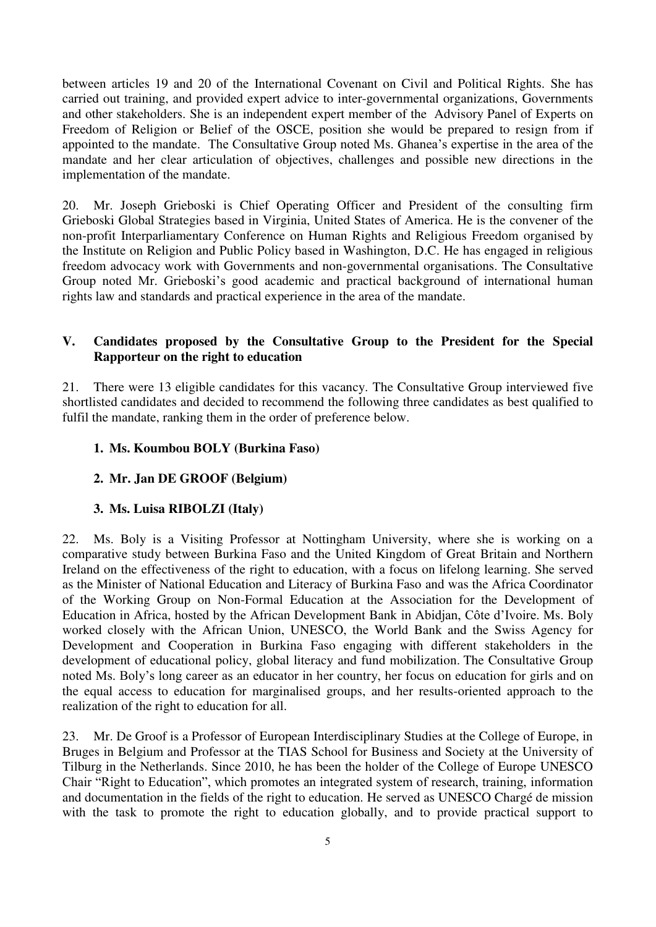between articles 19 and 20 of the International Covenant on Civil and Political Rights. She has carried out training, and provided expert advice to inter-governmental organizations, Governments and other stakeholders. She is an independent expert member of the Advisory Panel of Experts on Freedom of Religion or Belief of the OSCE, position she would be prepared to resign from if appointed to the mandate. The Consultative Group noted Ms. Ghanea's expertise in the area of the mandate and her clear articulation of objectives, challenges and possible new directions in the implementation of the mandate.

20. Mr. Joseph Grieboski is Chief Operating Officer and President of the consulting firm Grieboski Global Strategies based in Virginia, United States of America. He is the convener of the non-profit Interparliamentary Conference on Human Rights and Religious Freedom organised by the Institute on Religion and Public Policy based in Washington, D.C. He has engaged in religious freedom advocacy work with Governments and non-governmental organisations. The Consultative Group noted Mr. Grieboski's good academic and practical background of international human rights law and standards and practical experience in the area of the mandate.

### **V. Candidates proposed by the Consultative Group to the President for the Special Rapporteur on the right to education**

21. There were 13 eligible candidates for this vacancy. The Consultative Group interviewed five shortlisted candidates and decided to recommend the following three candidates as best qualified to fulfil the mandate, ranking them in the order of preference below.

#### **1. Ms. Koumbou BOLY (Burkina Faso)**

#### **2. Mr. Jan DE GROOF (Belgium)**

#### **3. Ms. Luisa RIBOLZI (Italy)**

22. Ms. Boly is a Visiting Professor at Nottingham University, where she is working on a comparative study between Burkina Faso and the United Kingdom of Great Britain and Northern Ireland on the effectiveness of the right to education, with a focus on lifelong learning. She served as the Minister of National Education and Literacy of Burkina Faso and was the Africa Coordinator of the Working Group on Non-Formal Education at the Association for the Development of Education in Africa, hosted by the African Development Bank in Abidjan, Côte d'Ivoire. Ms. Boly worked closely with the African Union, UNESCO, the World Bank and the Swiss Agency for Development and Cooperation in Burkina Faso engaging with different stakeholders in the development of educational policy, global literacy and fund mobilization. The Consultative Group noted Ms. Boly's long career as an educator in her country, her focus on education for girls and on the equal access to education for marginalised groups, and her results-oriented approach to the realization of the right to education for all.

23. Mr. De Groof is a Professor of European Interdisciplinary Studies at the College of Europe, in Bruges in Belgium and Professor at the TIAS School for Business and Society at the University of Tilburg in the Netherlands. Since 2010, he has been the holder of the College of Europe UNESCO Chair "Right to Education", which promotes an integrated system of research, training, information and documentation in the fields of the right to education. He served as UNESCO Chargé de mission with the task to promote the right to education globally, and to provide practical support to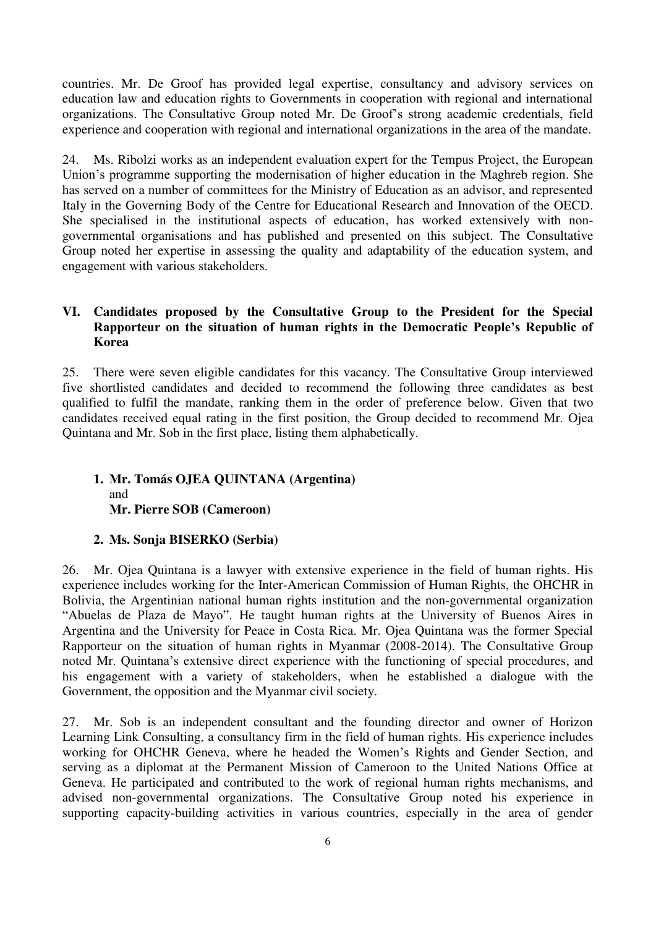countries. Mr. De Groof has provided legal expertise, consultancy and advisory services on education law and education rights to Governments in cooperation with regional and international organizations. The Consultative Group noted Mr. De Groof's strong academic credentials, field experience and cooperation with regional and international organizations in the area of the mandate.

24. Ms. Ribolzi works as an independent evaluation expert for the Tempus Project, the European Union's programme supporting the modernisation of higher education in the Maghreb region. She has served on a number of committees for the Ministry of Education as an advisor, and represented Italy in the Governing Body of the Centre for Educational Research and Innovation of the OECD. She specialised in the institutional aspects of education, has worked extensively with nongovernmental organisations and has published and presented on this subject. The Consultative Group noted her expertise in assessing the quality and adaptability of the education system, and engagement with various stakeholders.

### **VI. Candidates proposed by the Consultative Group to the President for the Special Rapporteur on the situation of human rights in the Democratic People's Republic of Korea**

25. There were seven eligible candidates for this vacancy. The Consultative Group interviewed five shortlisted candidates and decided to recommend the following three candidates as best qualified to fulfil the mandate, ranking them in the order of preference below. Given that two candidates received equal rating in the first position, the Group decided to recommend Mr. Ojea Quintana and Mr. Sob in the first place, listing them alphabetically.

### **1. Mr. Tomás OJEA QUINTANA (Argentina)**  and **Mr. Pierre SOB (Cameroon)**

### **2. Ms. Sonja BISERKO (Serbia)**

26. Mr. Ojea Quintana is a lawyer with extensive experience in the field of human rights. His experience includes working for the Inter-American Commission of Human Rights, the OHCHR in Bolivia, the Argentinian national human rights institution and the non-governmental organization "Abuelas de Plaza de Mayo". He taught human rights at the University of Buenos Aires in Argentina and the University for Peace in Costa Rica. Mr. Ojea Quintana was the former Special Rapporteur on the situation of human rights in Myanmar (2008-2014). The Consultative Group noted Mr. Quintana's extensive direct experience with the functioning of special procedures, and his engagement with a variety of stakeholders, when he established a dialogue with the Government, the opposition and the Myanmar civil society.

27. Mr. Sob is an independent consultant and the founding director and owner of Horizon Learning Link Consulting, a consultancy firm in the field of human rights. His experience includes working for OHCHR Geneva, where he headed the Women's Rights and Gender Section, and serving as a diplomat at the Permanent Mission of Cameroon to the United Nations Office at Geneva. He participated and contributed to the work of regional human rights mechanisms, and advised non-governmental organizations. The Consultative Group noted his experience in supporting capacity-building activities in various countries, especially in the area of gender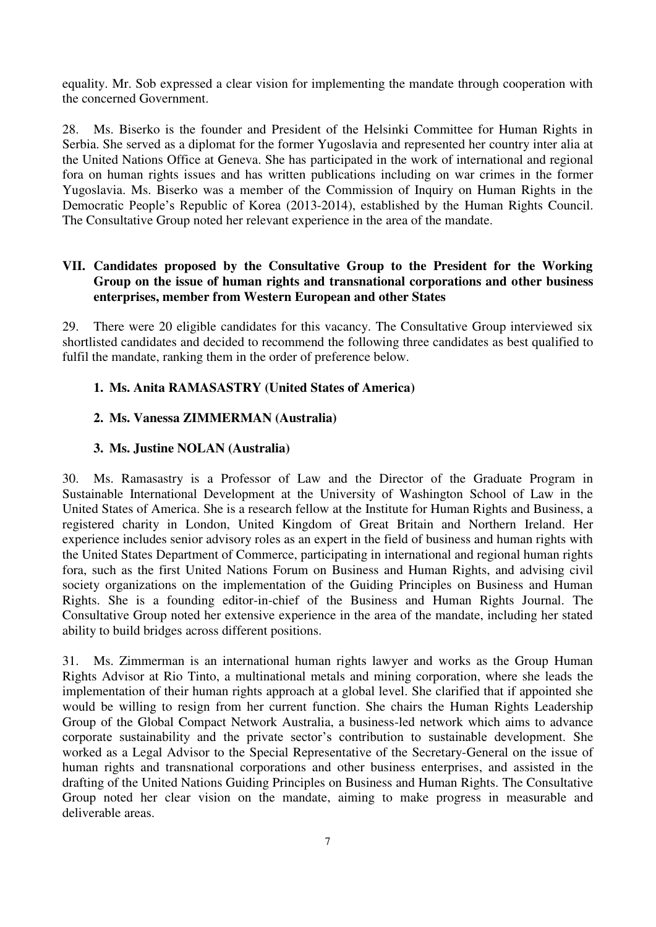equality. Mr. Sob expressed a clear vision for implementing the mandate through cooperation with the concerned Government.

28. Ms. Biserko is the founder and President of the Helsinki Committee for Human Rights in Serbia. She served as a diplomat for the former Yugoslavia and represented her country inter alia at the United Nations Office at Geneva. She has participated in the work of international and regional fora on human rights issues and has written publications including on war crimes in the former Yugoslavia. Ms. Biserko was a member of the Commission of Inquiry on Human Rights in the Democratic People's Republic of Korea (2013-2014), established by the Human Rights Council. The Consultative Group noted her relevant experience in the area of the mandate.

#### **VII. Candidates proposed by the Consultative Group to the President for the Working Group on the issue of human rights and transnational corporations and other business enterprises, member from Western European and other States**

29. There were 20 eligible candidates for this vacancy. The Consultative Group interviewed six shortlisted candidates and decided to recommend the following three candidates as best qualified to fulfil the mandate, ranking them in the order of preference below.

### **1. Ms. Anita RAMASASTRY (United States of America)**

#### **2. Ms. Vanessa ZIMMERMAN (Australia)**

#### **3. Ms. Justine NOLAN (Australia)**

30. Ms. Ramasastry is a Professor of Law and the Director of the Graduate Program in Sustainable International Development at the University of Washington School of Law in the United States of America. She is a research fellow at the Institute for Human Rights and Business, a registered charity in London, United Kingdom of Great Britain and Northern Ireland. Her experience includes senior advisory roles as an expert in the field of business and human rights with the United States Department of Commerce, participating in international and regional human rights fora, such as the first United Nations Forum on Business and Human Rights, and advising civil society organizations on the implementation of the Guiding Principles on Business and Human Rights. She is a founding editor-in-chief of the Business and Human Rights Journal. The Consultative Group noted her extensive experience in the area of the mandate, including her stated ability to build bridges across different positions.

31. Ms. Zimmerman is an international human rights lawyer and works as the Group Human Rights Advisor at Rio Tinto, a multinational metals and mining corporation, where she leads the implementation of their human rights approach at a global level. She clarified that if appointed she would be willing to resign from her current function. She chairs the Human Rights Leadership Group of the Global Compact Network Australia, a business-led network which aims to advance corporate sustainability and the private sector's contribution to sustainable development. She worked as a Legal Advisor to the Special Representative of the Secretary-General on the issue of human rights and transnational corporations and other business enterprises, and assisted in the drafting of the United Nations Guiding Principles on Business and Human Rights. The Consultative Group noted her clear vision on the mandate, aiming to make progress in measurable and deliverable areas.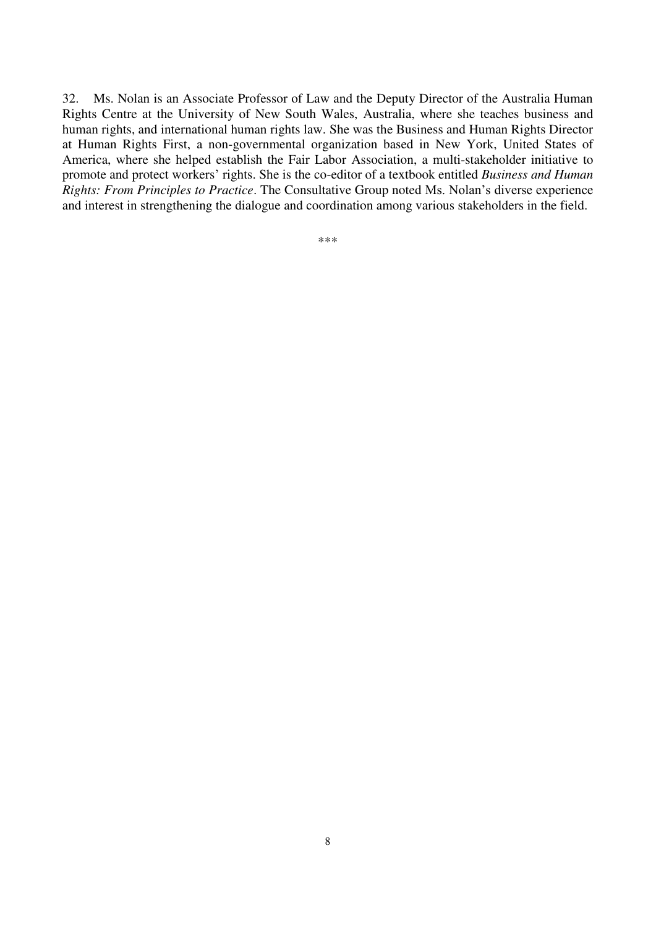32. Ms. Nolan is an Associate Professor of Law and the Deputy Director of the Australia Human Rights Centre at the University of New South Wales, Australia, where she teaches business and human rights, and international human rights law. She was the Business and Human Rights Director at Human Rights First, a non-governmental organization based in New York, United States of America, where she helped establish the Fair Labor Association, a multi-stakeholder initiative to promote and protect workers' rights. She is the co-editor of a textbook entitled *Business and Human Rights: From Principles to Practice*. The Consultative Group noted Ms. Nolan's diverse experience and interest in strengthening the dialogue and coordination among various stakeholders in the field.

\*\*\*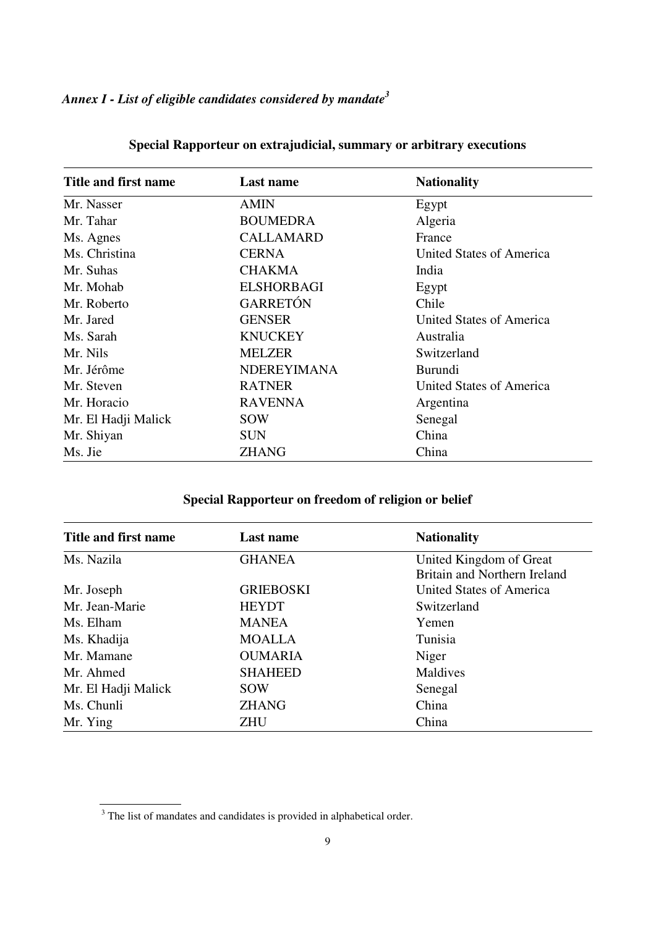| Title and first name | <b>Last name</b>   | <b>Nationality</b>       |
|----------------------|--------------------|--------------------------|
| Mr. Nasser           | <b>AMIN</b>        | Egypt                    |
| Mr. Tahar            | <b>BOUMEDRA</b>    | Algeria                  |
| Ms. Agnes            | <b>CALLAMARD</b>   | France                   |
| Ms. Christina        | <b>CERNA</b>       | United States of America |
| Mr. Suhas            | <b>CHAKMA</b>      | India                    |
| Mr. Mohab            | <b>ELSHORBAGI</b>  | Egypt                    |
| Mr. Roberto          | <b>GARRETÓN</b>    | Chile                    |
| Mr. Jared            | <b>GENSER</b>      | United States of America |
| Ms. Sarah            | <b>KNUCKEY</b>     | Australia                |
| Mr. Nils             | <b>MELZER</b>      | Switzerland              |
| Mr. Jérôme           | <b>NDEREYIMANA</b> | <b>Burundi</b>           |
| Mr. Steven           | <b>RATNER</b>      | United States of America |
| Mr. Horacio          | <b>RAVENNA</b>     | Argentina                |
| Mr. El Hadji Malick  | <b>SOW</b>         | Senegal                  |
| Mr. Shiyan           | <b>SUN</b>         | China                    |
| Ms. Jie              | <b>ZHANG</b>       | China                    |

# **Special Rapporteur on extrajudicial, summary or arbitrary executions**

### **Special Rapporteur on freedom of religion or belief**

| Title and first name | Last name        | <b>Nationality</b>           |
|----------------------|------------------|------------------------------|
| Ms. Nazila           | <b>GHANEA</b>    | United Kingdom of Great      |
|                      |                  | Britain and Northern Ireland |
| Mr. Joseph           | <b>GRIEBOSKI</b> | United States of America     |
| Mr. Jean-Marie       | <b>HEYDT</b>     | Switzerland                  |
| Ms. Elham            | <b>MANEA</b>     | Yemen                        |
| Ms. Khadija          | <b>MOALLA</b>    | Tunisia                      |
| Mr. Mamane           | <b>OUMARIA</b>   | Niger                        |
| Mr. Ahmed            | <b>SHAHEED</b>   | Maldives                     |
| Mr. El Hadji Malick  | SOW              | Senegal                      |
| Ms. Chunli           | <b>ZHANG</b>     | China                        |
| Mr. Ying             | <b>ZHU</b>       | China                        |

 $\overline{a}$ 

<sup>&</sup>lt;sup>3</sup> The list of mandates and candidates is provided in alphabetical order.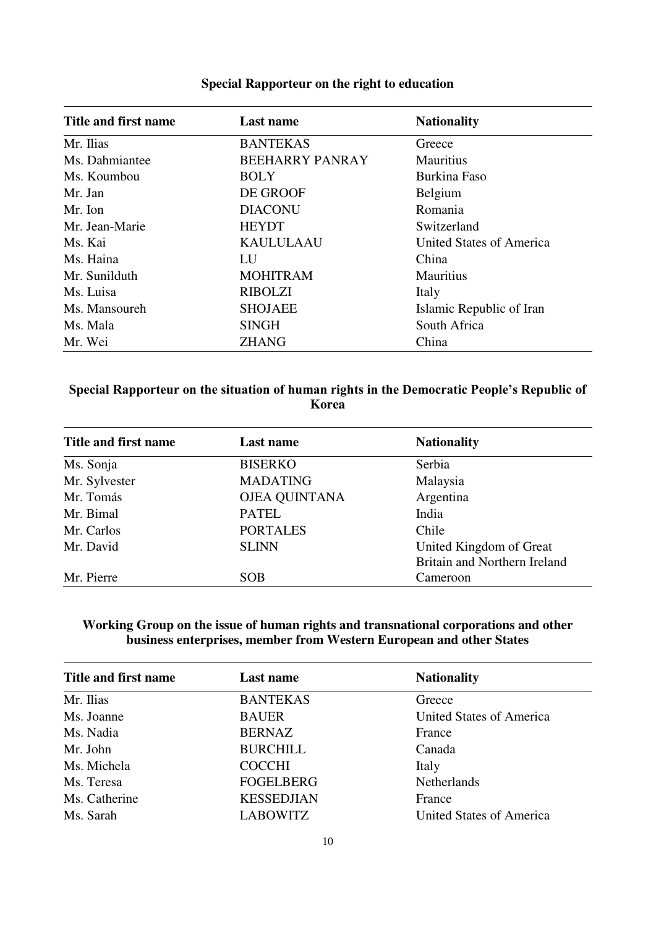| Title and first name | Last name              | <b>Nationality</b>       |
|----------------------|------------------------|--------------------------|
| Mr. Ilias            | <b>BANTEKAS</b>        | Greece                   |
| Ms. Dahmiantee       | <b>BEEHARRY PANRAY</b> | <b>Mauritius</b>         |
| Ms. Koumbou          | <b>BOLY</b>            | Burkina Faso             |
| Mr. Jan              | DE GROOF               | Belgium                  |
| Mr. Ion              | <b>DIACONU</b>         | Romania                  |
| Mr. Jean-Marie       | <b>HEYDT</b>           | Switzerland              |
| Ms. Kai              | <b>KAULULAAU</b>       | United States of America |
| Ms. Haina            | LU                     | China                    |
| Mr. Sunilduth        | <b>MOHITRAM</b>        | <b>Mauritius</b>         |
| Ms. Luisa            | <b>RIBOLZI</b>         | Italy                    |
| Ms. Mansoureh        | <b>SHOJAEE</b>         | Islamic Republic of Iran |
| Ms. Mala             | <b>SINGH</b>           | South Africa             |
| Mr. Wei              | <b>ZHANG</b>           | China                    |

#### **Special Rapporteur on the right to education**

# **Special Rapporteur on the situation of human rights in the Democratic People's Republic of Korea**

| Title and first name | Last name            | <b>Nationality</b>           |
|----------------------|----------------------|------------------------------|
| Ms. Sonja            | <b>BISERKO</b>       | Serbia                       |
| Mr. Sylvester        | <b>MADATING</b>      | Malaysia                     |
| Mr. Tomás            | <b>OJEA QUINTANA</b> | Argentina                    |
| Mr. Bimal            | <b>PATEL</b>         | India                        |
| Mr. Carlos           | <b>PORTALES</b>      | Chile                        |
| Mr. David            | <b>SLINN</b>         | United Kingdom of Great      |
|                      |                      | Britain and Northern Ireland |
| Mr. Pierre           | <b>SOB</b>           | Cameroon                     |

### **Working Group on the issue of human rights and transnational corporations and other business enterprises, member from Western European and other States**

| Title and first name | Last name         | <b>Nationality</b>       |
|----------------------|-------------------|--------------------------|
| Mr. Ilias            | <b>BANTEKAS</b>   | Greece                   |
| Ms. Joanne           | <b>BAUER</b>      | United States of America |
| Ms. Nadia            | <b>BERNAZ</b>     | France                   |
| Mr. John             | <b>BURCHILL</b>   | Canada                   |
| Ms. Michela          | <b>COCCHI</b>     | Italy                    |
| Ms. Teresa           | <b>FOGELBERG</b>  | <b>Netherlands</b>       |
| Ms. Catherine        | <b>KESSEDJIAN</b> | France                   |
| Ms. Sarah            | <b>LABOWITZ</b>   | United States of America |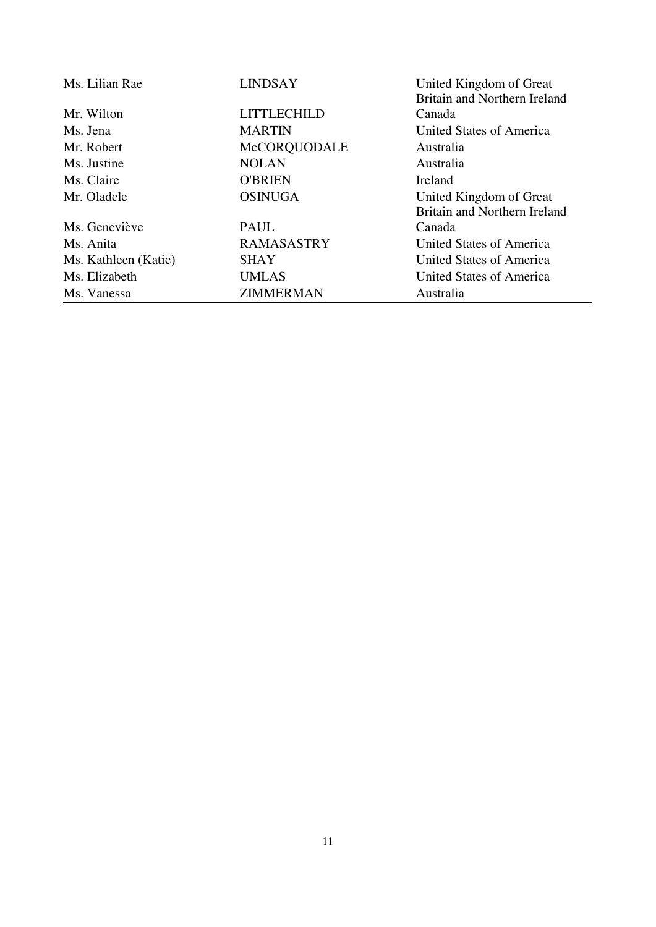| Ms. Lilian Rae       | <b>LINDSAY</b>     | United Kingdom of Great      |
|----------------------|--------------------|------------------------------|
|                      |                    | Britain and Northern Ireland |
| Mr. Wilton           | <b>LITTLECHILD</b> | Canada                       |
| Ms. Jena             | <b>MARTIN</b>      | United States of America     |
| Mr. Robert           | McCORQUODALE       | Australia                    |
| Ms. Justine          | <b>NOLAN</b>       | Australia                    |
| Ms. Claire           | <b>O'BRIEN</b>     | Ireland                      |
| Mr. Oladele          | <b>OSINUGA</b>     | United Kingdom of Great      |
|                      |                    | Britain and Northern Ireland |
| Ms. Geneviève        | <b>PAUL</b>        | Canada                       |
| Ms. Anita            | <b>RAMASASTRY</b>  | United States of America     |
| Ms. Kathleen (Katie) | <b>SHAY</b>        | United States of America     |
| Ms. Elizabeth        | <b>UMLAS</b>       | United States of America     |
| Ms. Vanessa          | <b>ZIMMERMAN</b>   | Australia                    |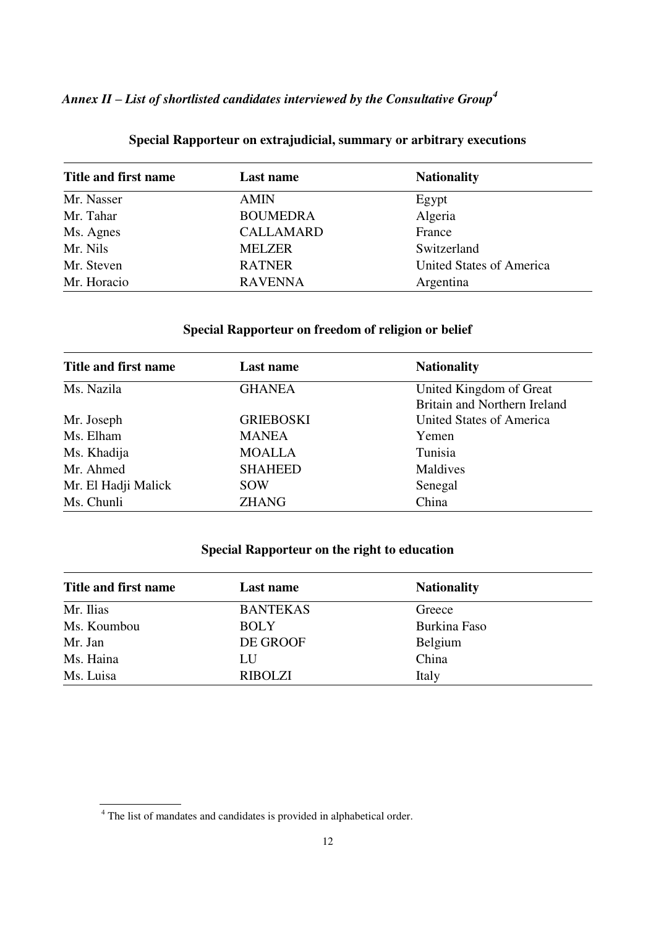# *Annex II – List of shortlisted candidates interviewed by the Consultative Group<sup>4</sup>*

| Title and first name | Last name        | <b>Nationality</b>       |
|----------------------|------------------|--------------------------|
| Mr. Nasser           | <b>AMIN</b>      | Egypt                    |
| Mr. Tahar            | <b>BOUMEDRA</b>  | Algeria                  |
| Ms. Agnes            | <b>CALLAMARD</b> | France                   |
| Mr. Nils             | <b>MELZER</b>    | Switzerland              |
| Mr. Steven           | <b>RATNER</b>    | United States of America |
| Mr. Horacio          | <b>RAVENNA</b>   | Argentina                |

### **Special Rapporteur on extrajudicial, summary or arbitrary executions**

# **Special Rapporteur on freedom of religion or belief**

| Title and first name | Last name        | <b>Nationality</b>           |
|----------------------|------------------|------------------------------|
| Ms. Nazila           | <b>GHANEA</b>    | United Kingdom of Great      |
|                      |                  | Britain and Northern Ireland |
| Mr. Joseph           | <b>GRIEBOSKI</b> | United States of America     |
| Ms. Elham            | <b>MANEA</b>     | Yemen                        |
| Ms. Khadija          | <b>MOALLA</b>    | Tunisia                      |
| Mr. Ahmed            | <b>SHAHEED</b>   | Maldives                     |
| Mr. El Hadji Malick  | <b>SOW</b>       | Senegal                      |
| Ms. Chunli           | <b>ZHANG</b>     | China                        |

### **Special Rapporteur on the right to education**

| Title and first name | Last name       | <b>Nationality</b> |  |
|----------------------|-----------------|--------------------|--|
| Mr. Ilias            | <b>BANTEKAS</b> | Greece             |  |
| Ms. Koumbou          | <b>BOLY</b>     | Burkina Faso       |  |
| Mr. Jan              | DE GROOF        | <b>Belgium</b>     |  |
| Ms. Haina            | LU              | China              |  |
| Ms. Luisa            | <b>RIBOLZI</b>  | Italy              |  |

 $\overline{a}$ 

<sup>&</sup>lt;sup>4</sup> The list of mandates and candidates is provided in alphabetical order.